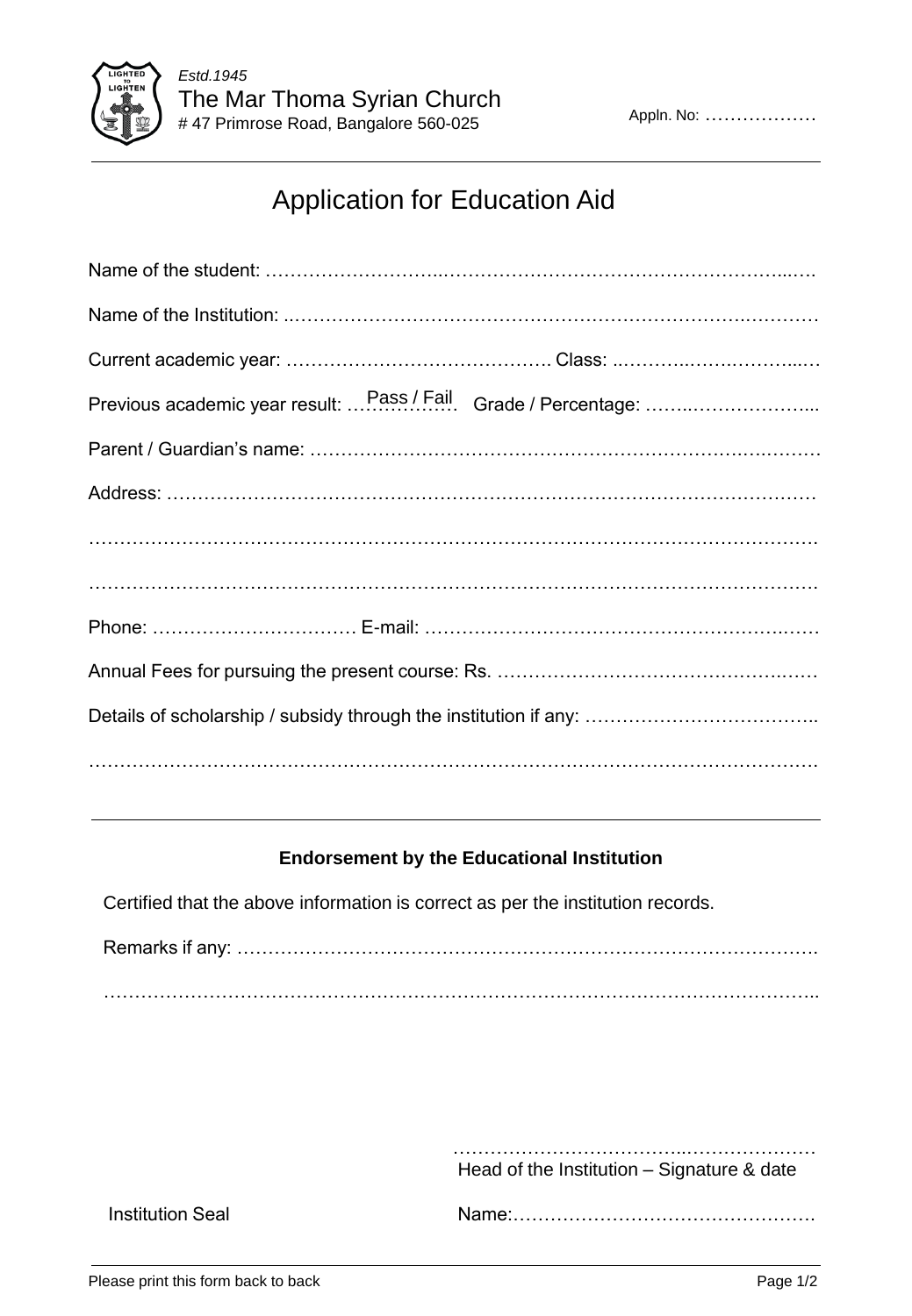

## Application for Education Aid

| Previous academic year result:  Pass / Fail Grade / Percentage: |
|-----------------------------------------------------------------|
|                                                                 |
|                                                                 |
|                                                                 |
|                                                                 |
|                                                                 |
|                                                                 |
|                                                                 |
|                                                                 |

## **Endorsement by the Educational Institution**

Certified that the above information is correct as per the institution records.

Remarks if any: …………………………………………………………………………………. ……………………………………………………………………………………………………..

 ………………………………..………………… Head of the Institution – Signature & date

Institution Seal Name:………………………………………….